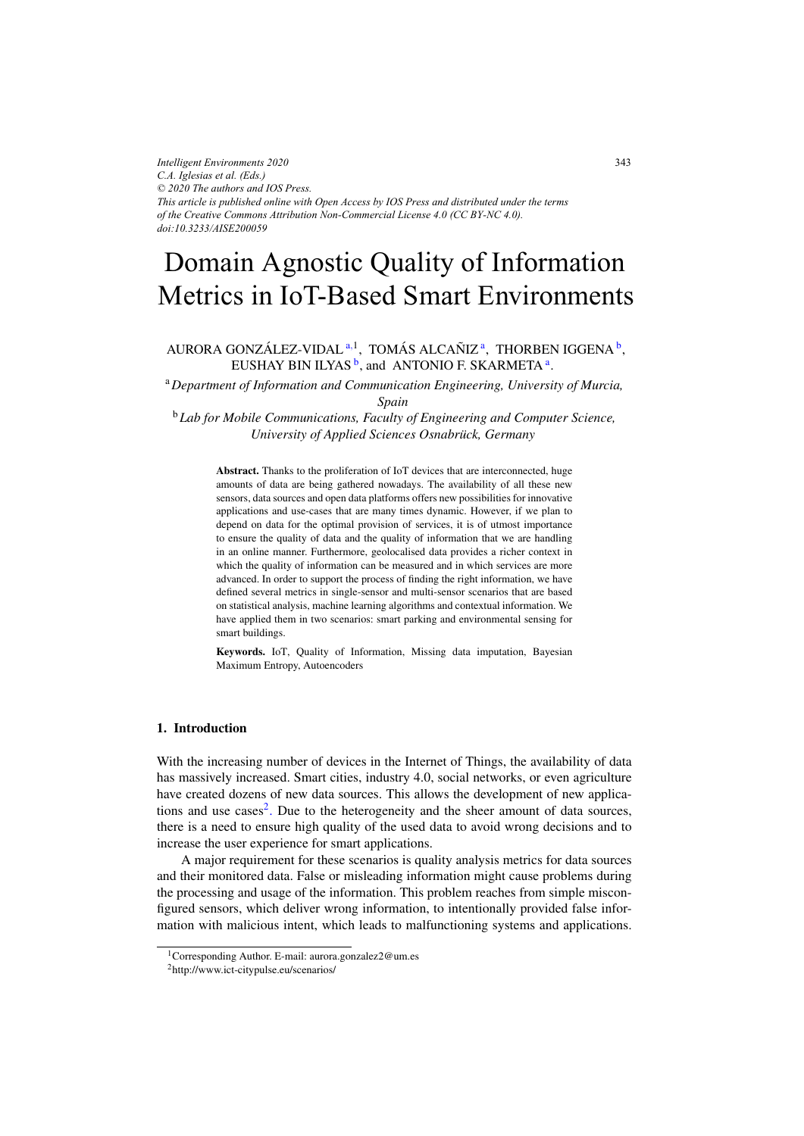# Domain Agnostic Quality of Information Metrics in IoT-Based Smart Environments

# AURORA GONZÁLEZ-VIDAL<sup>a, 1</sup>, TOMÁS ALCAÑIZ<sup>a</sup>, THORBEN IGGENA<sup>b</sup>, EUSHAY BIN ILYAS<sup> $b$ </sup>, and ANTONIO F. SKARMETA<sup>a</sup>.

<sup>a</sup>*Department of Information and Communication Engineering, University of Murcia,*

*Spain*

<sup>b</sup>*Lab for Mobile Communications, Faculty of Engineering and Computer Science, University of Applied Sciences Osnabruck, Germany ¨*

Abstract. Thanks to the proliferation of IoT devices that are interconnected, huge amounts of data are being gathered nowadays. The availability of all these new sensors, data sources and open data platforms offers new possibilities for innovative applications and use-cases that are many times dynamic. However, if we plan to depend on data for the optimal provision of services, it is of utmost importance to ensure the quality of data and the quality of information that we are handling in an online manner. Furthermore, geolocalised data provides a richer context in which the quality of information can be measured and in which services are more advanced. In order to support the process of finding the right information, we have defined several metrics in single-sensor and multi-sensor scenarios that are based on statistical analysis, machine learning algorithms and contextual information. We have applied them in two scenarios: smart parking and environmental sensing for smart buildings.

Keywords. IoT, Quality of Information, Missing data imputation, Bayesian Maximum Entropy, Autoencoders

# 1. Introduction

With the increasing number of devices in the Internet of Things, the availability of data has massively increased. Smart cities, industry 4.0, social networks, or even agriculture have created dozens of new data sources. This allows the development of new applications and use  $cases<sup>2</sup>$ . Due to the heterogeneity and the sheer amount of data sources, there is a need to ensure high quality of the used data to avoid wrong decisions and to increase the user experience for smart applications.

A major requirement for these scenarios is quality analysis metrics for data sources and their monitored data. False or misleading information might cause problems during the processing and usage of the information. This problem reaches from simple misconfigured sensors, which deliver wrong information, to intentionally provided false information with malicious intent, which leads to malfunctioning systems and applications.

<sup>1</sup>Corresponding Author. E-mail: aurora.gonzalez2@um.es

<sup>2</sup>http://www.ict-citypulse.eu/scenarios/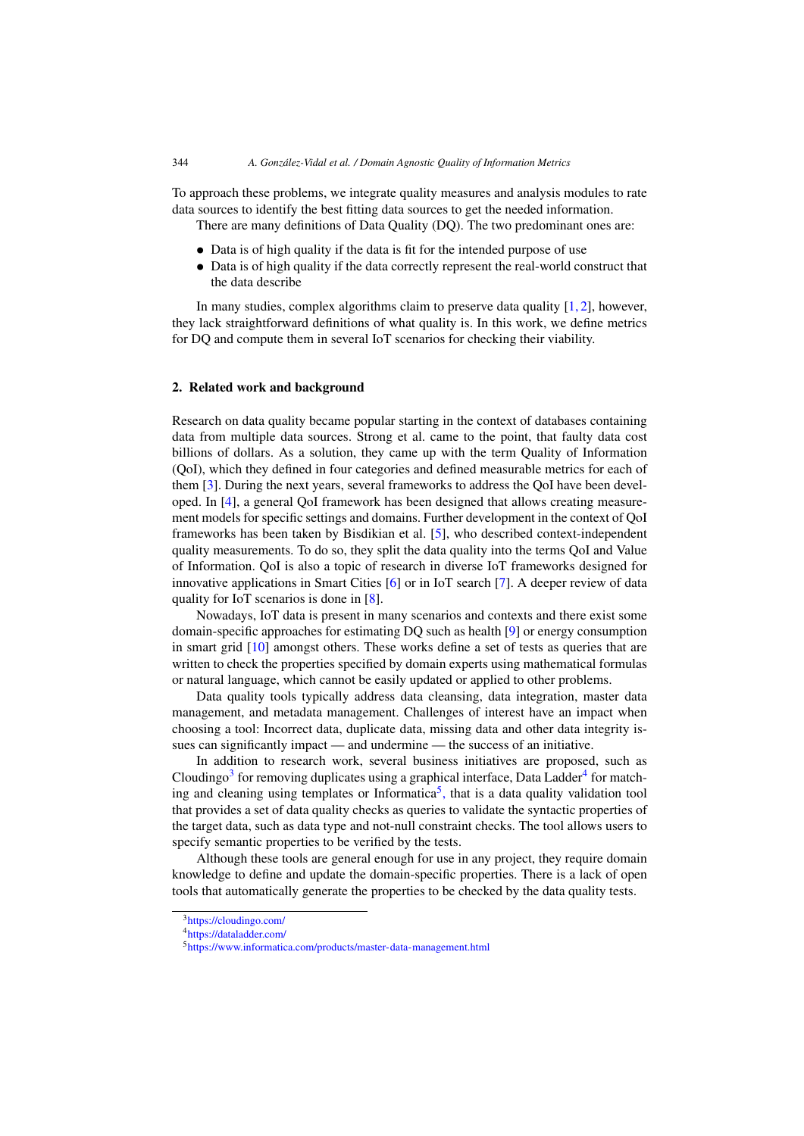To approach these problems, we integrate quality measures and analysis modules to rate data sources to identify the best fitting data sources to get the needed information.

There are many definitions of Data Quality (DQ). The two predominant ones are:

- *•* Data is of high quality if the data is fit for the intended purpose of use
- Data is of high quality if the data correctly represent the real-world construct that the data describe

In many studies, complex algorithms claim to preserve data quality  $[1, 2]$ , however, they lack straightforward definitions of what quality is. In this work, we define metrics for DQ and compute them in several IoT scenarios for checking their viability.

#### 2. Related work and background

Research on data quality became popular starting in the context of databases containing data from multiple data sources. Strong et al. came to the point, that faulty data cost billions of dollars. As a solution, they came up with the term Quality of Information (QoI), which they defined in four categories and defined measurable metrics for each of them [\[3\]](#page-8-0). During the next years, several frameworks to address the QoI have been developed. In [\[4\]](#page-8-0), a general QoI framework has been designed that allows creating measurement models for specific settings and domains. Further development in the context of QoI frameworks has been taken by Bisdikian et al. [\[5\]](#page-8-0), who described context-independent quality measurements. To do so, they split the data quality into the terms QoI and Value of Information. QoI is also a topic of research in diverse IoT frameworks designed for innovative applications in Smart Cities [\[6\]](#page-8-0) or in IoT search [\[7\]](#page-8-0). A deeper review of data quality for IoT scenarios is done in [\[8\]](#page-8-0).

Nowadays, IoT data is present in many scenarios and contexts and there exist some domain-specific approaches for estimating DQ such as health [\[9\]](#page-8-0) or energy consumption in smart grid [\[10\]](#page-8-0) amongst others. These works define a set of tests as queries that are written to check the properties specified by domain experts using mathematical formulas or natural language, which cannot be easily updated or applied to other problems.

Data quality tools typically address data cleansing, data integration, master data management, and metadata management. Challenges of interest have an impact when choosing a tool: Incorrect data, duplicate data, missing data and other data integrity issues can significantly impact — and undermine — the success of an initiative.

In addition to research work, several business initiatives are proposed, such as Cloudingo<sup>3</sup> for removing duplicates using a graphical interface, Data Ladder<sup>4</sup> for matching and cleaning using templates or Informatica<sup>5</sup>, that is a data quality validation tool that provides a set of data quality checks as queries to validate the syntactic properties of the target data, such as data type and not-null constraint checks. The tool allows users to specify semantic properties to be verified by the tests.

Although these tools are general enough for use in any project, they require domain knowledge to define and update the domain-specific properties. There is a lack of open tools that automatically generate the properties to be checked by the data quality tests.

[<sup>3</sup>https://cloudingo.com/](https://cloudingo.com/)

[<sup>4</sup>https://dataladder.com/](https://dataladder.com/)

[<sup>5</sup>https://www.informatica.com/products/master-data-management.html](https://www.informatica.com/products/master-data-management.html)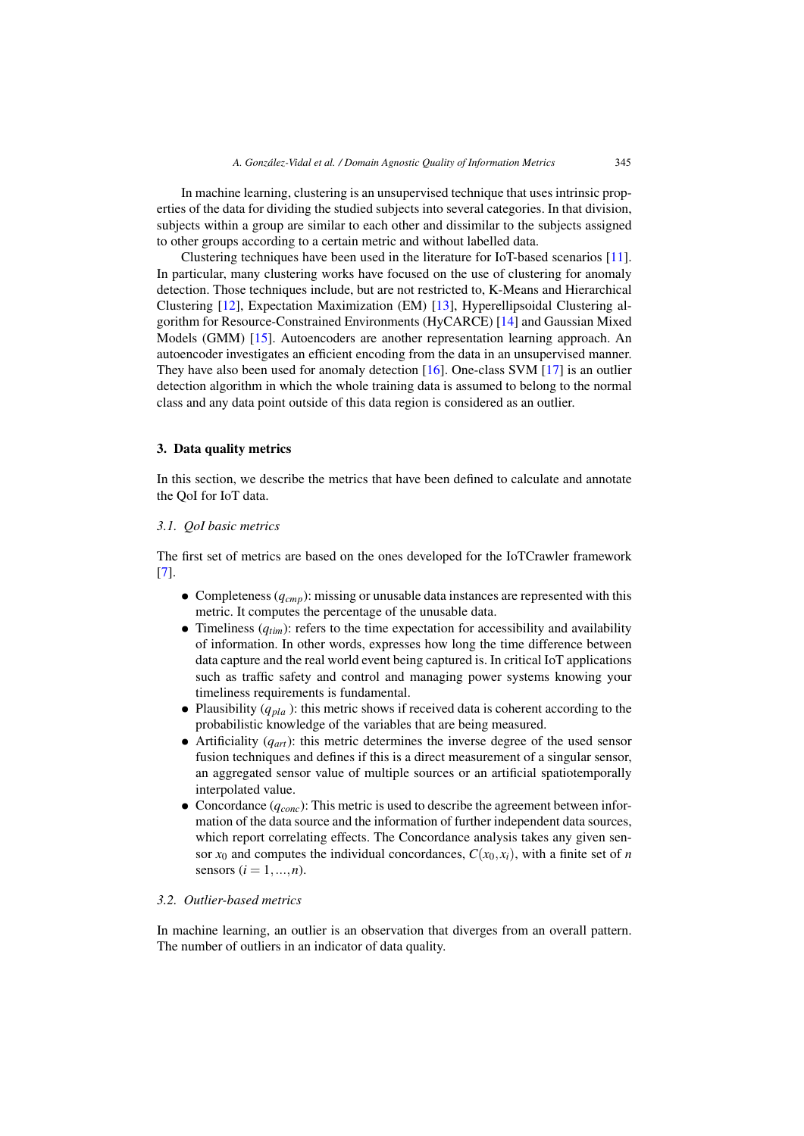<span id="page-2-0"></span>In machine learning, clustering is an unsupervised technique that uses intrinsic properties of the data for dividing the studied subjects into several categories. In that division, subjects within a group are similar to each other and dissimilar to the subjects assigned to other groups according to a certain metric and without labelled data.

Clustering techniques have been used in the literature for IoT-based scenarios [\[11\]](#page-9-0). In particular, many clustering works have focused on the use of clustering for anomaly detection. Those techniques include, but are not restricted to, K-Means and Hierarchical Clustering [\[12\]](#page-9-0), Expectation Maximization (EM) [\[13\]](#page-9-0), Hyperellipsoidal Clustering algorithm for Resource-Constrained Environments (HyCARCE) [\[14\]](#page-9-0) and Gaussian Mixed Models (GMM) [\[15\]](#page-9-0). Autoencoders are another representation learning approach. An autoencoder investigates an efficient encoding from the data in an unsupervised manner. They have also been used for anomaly detection [\[16\]](#page-9-0). One-class SVM [\[17\]](#page-9-0) is an outlier detection algorithm in which the whole training data is assumed to belong to the normal class and any data point outside of this data region is considered as an outlier.

#### 3. Data quality metrics

In this section, we describe the metrics that have been defined to calculate and annotate the QoI for IoT data.

#### *3.1. QoI basic metrics*

The first set of metrics are based on the ones developed for the IoTCrawler framework [\[7\]](#page-8-0).

- Completeness (*q<sub>cmn</sub>*): missing or unusable data instances are represented with this metric. It computes the percentage of the unusable data.
- Timeliness  $(q_{tim})$ : refers to the time expectation for accessibility and availability of information. In other words, expresses how long the time difference between data capture and the real world event being captured is. In critical IoT applications such as traffic safety and control and managing power systems knowing your timeliness requirements is fundamental.
- Plausibility (*q<sub>pla</sub>*): this metric shows if received data is coherent according to the probabilistic knowledge of the variables that are being measured.
- Artificiality  $(q_{art})$ : this metric determines the inverse degree of the used sensor fusion techniques and defines if this is a direct measurement of a singular sensor, an aggregated sensor value of multiple sources or an artificial spatiotemporally interpolated value.
- Concordance (*q<sub>conc</sub>*): This metric is used to describe the agreement between information of the data source and the information of further independent data sources, which report correlating effects. The Concordance analysis takes any given sensor  $x_0$  and computes the individual concordances,  $C(x_0, x_i)$ , with a finite set of *n* sensors  $(i = 1, ..., n)$ .

#### *3.2. Outlier-based metrics*

In machine learning, an outlier is an observation that diverges from an overall pattern. The number of outliers in an indicator of data quality.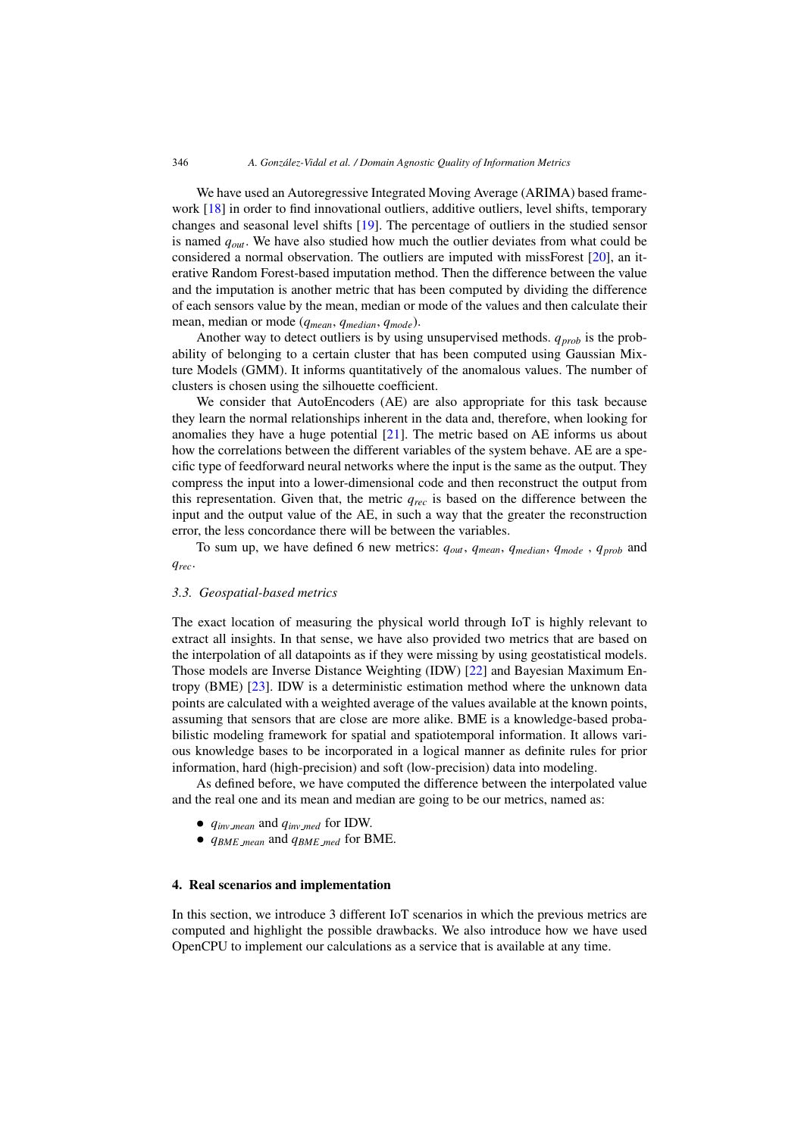We have used an Autoregressive Integrated Moving Average (ARIMA) based frame-work [\[18\]](#page-9-0) in order to find innovational outliers, additive outliers, level shifts, temporary changes and seasonal level shifts [\[19\]](#page-9-0). The percentage of outliers in the studied sensor is named *qout*. We have also studied how much the outlier deviates from what could be considered a normal observation. The outliers are imputed with missForest [\[20\]](#page-9-0), an iterative Random Forest-based imputation method. Then the difference between the value and the imputation is another metric that has been computed by dividing the difference of each sensors value by the mean, median or mode of the values and then calculate their mean, median or mode (*qmean*, *qmedian*, *qmode*).

Another way to detect outliers is by using unsupervised methods.  $q_{prob}$  is the probability of belonging to a certain cluster that has been computed using Gaussian Mixture Models (GMM). It informs quantitatively of the anomalous values. The number of clusters is chosen using the silhouette coefficient.

We consider that AutoEncoders (AE) are also appropriate for this task because they learn the normal relationships inherent in the data and, therefore, when looking for anomalies they have a huge potential [\[21\]](#page-9-0). The metric based on AE informs us about how the correlations between the different variables of the system behave. AE are a specific type of feedforward neural networks where the input is the same as the output. They compress the input into a lower-dimensional code and then reconstruct the output from this representation. Given that, the metric *qrec* is based on the difference between the input and the output value of the AE, in such a way that the greater the reconstruction error, the less concordance there will be between the variables.

To sum up, we have defined 6 new metrics: *qout*, *qmean*, *qmedian*, *qmode* , *qprob* and *qrec*.

#### *3.3. Geospatial-based metrics*

The exact location of measuring the physical world through IoT is highly relevant to extract all insights. In that sense, we have also provided two metrics that are based on the interpolation of all datapoints as if they were missing by using geostatistical models. Those models are Inverse Distance Weighting (IDW) [\[22\]](#page-9-0) and Bayesian Maximum Entropy (BME) [\[23\]](#page-9-0). IDW is a deterministic estimation method where the unknown data points are calculated with a weighted average of the values available at the known points, assuming that sensors that are close are more alike. BME is a knowledge-based probabilistic modeling framework for spatial and spatiotemporal information. It allows various knowledge bases to be incorporated in a logical manner as definite rules for prior information, hard (high-precision) and soft (low-precision) data into modeling.

As defined before, we have computed the difference between the interpolated value and the real one and its mean and median are going to be our metrics, named as:

- *• qinv mean* and *qinv med* for IDW.
- *• qBME mean* and *qBME med* for BME.

#### 4. Real scenarios and implementation

In this section, we introduce 3 different IoT scenarios in which the previous metrics are computed and highlight the possible drawbacks. We also introduce how we have used OpenCPU to implement our calculations as a service that is available at any time.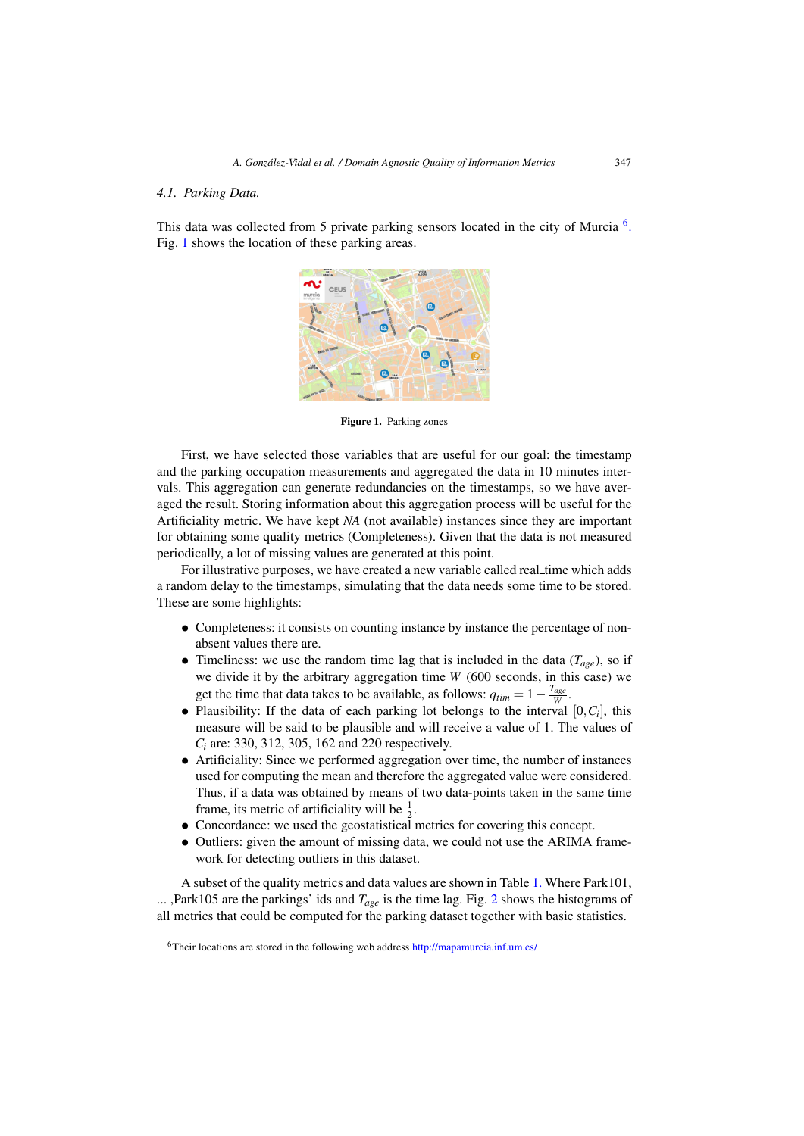#### *4.1. Parking Data.*

This data was collected from 5 private parking sensors located in the city of Murcia  $^{6}$ . Fig. 1 shows the location of these parking areas.



Figure 1. Parking zones

First, we have selected those variables that are useful for our goal: the timestamp and the parking occupation measurements and aggregated the data in 10 minutes intervals. This aggregation can generate redundancies on the timestamps, so we have averaged the result. Storing information about this aggregation process will be useful for the Artificiality metric. We have kept *NA* (not available) instances since they are important for obtaining some quality metrics (Completeness). Given that the data is not measured periodically, a lot of missing values are generated at this point.

For illustrative purposes, we have created a new variable called real time which adds a random delay to the timestamps, simulating that the data needs some time to be stored. These are some highlights:

- Completeness: it consists on counting instance by instance the percentage of nonabsent values there are.
- Timeliness: we use the random time lag that is included in the data  $(T_{\text{age}})$ , so if we divide it by the arbitrary aggregation time *W* (600 seconds, in this case) we get the time that data takes to be available, as follows:  $q_{tim} = 1 - \frac{T_{age}}{W}$ .
- Plausibility: If the data of each parking lot belongs to the interval  $[0, C_i]$ , this measure will be said to be plausible and will receive a value of 1. The values of *Ci* are: 330, 312, 305, 162 and 220 respectively.
- Artificiality: Since we performed aggregation over time, the number of instances used for computing the mean and therefore the aggregated value were considered. Thus, if a data was obtained by means of two data-points taken in the same time frame, its metric of artificiality will be  $\frac{1}{2}$ .
- *•* Concordance: we used the geostatistical metrics for covering this concept.
- Outliers: given the amount of missing data, we could not use the ARIMA framework for detecting outliers in this dataset.

A subset of the quality metrics and data values are shown in Table [1.](#page-5-0) Where Park101, ... ,Park105 are the parkings' ids and *Tage* is the time lag. Fig. [2](#page-5-0) shows the histograms of all metrics that could be computed for the parking dataset together with basic statistics.

<sup>&</sup>lt;sup>6</sup>Their locations are stored in the following web address <http://mapamurcia.inf.um.es/>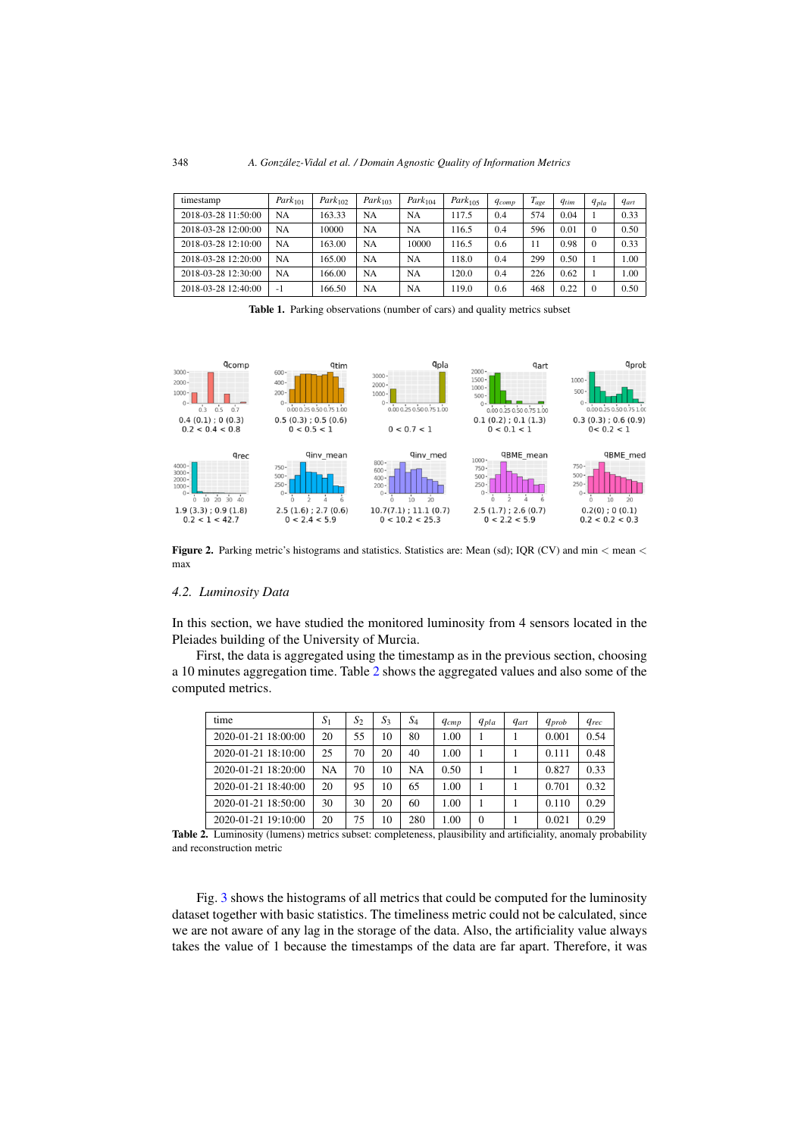<span id="page-5-0"></span>

| timestamp           | $Park_{101}$ | $Park_{102}$ | $Park_{103}$ | Park <sub>104</sub> | Park <sub>105</sub> | $q_{comp}$ | $T_{age}$ | $q_{tim}$ | $q_{pla}$ | $q_{art}$ |
|---------------------|--------------|--------------|--------------|---------------------|---------------------|------------|-----------|-----------|-----------|-----------|
| 2018-03-28 11:50:00 | NA           | 163.33       | NA           | NA                  | 117.5               | 0.4        | 574       | 0.04      |           | 0.33      |
| 2018-03-28 12:00:00 | NA           | 10000        | NA           | NA                  | 116.5               | 0.4        | 596       | 0.01      | $\Omega$  | 0.50      |
| 2018-03-28 12:10:00 | NA           | 163.00       | NA           | 10000               | 116.5               | 0.6        | 11        | 0.98      | $\Omega$  | 0.33      |
| 2018-03-28 12:20:00 | NA           | 165.00       | NA           | NA                  | 118.0               | 0.4        | 299       | 0.50      |           | 1.00      |
| 2018-03-28 12:30:00 | <b>NA</b>    | 166.00       | NA           | NA                  | 120.0               | 0.4        | 226       | 0.62      |           | 1.00      |
| 2018-03-28 12:40:00 | $-1$         | 166.50       | NA           | NA                  | 119.0               | 0.6        | 468       | 0.22      | $\Omega$  | 0.50      |

Table 1. Parking observations (number of cars) and quality metrics subset



**Figure 2.** Parking metric's histograms and statistics. Statistics are: Mean (sd); IQR (CV) and min  $\lt$  mean  $\lt$ max

#### *4.2. Luminosity Data*

In this section, we have studied the monitored luminosity from 4 sensors located in the Pleiades building of the University of Murcia.

First, the data is aggregated using the timestamp as in the previous section, choosing a 10 minutes aggregation time. Table 2 shows the aggregated values and also some of the computed metrics.

| time                | $S_1$ | $S_2$ | $S_3$ | $\it{S}_{4}$ | $q_{cmp}$ | $q_{pla}$ | <i>gart</i> | <i>Aprob</i> | <i><u><b>Grec</b></u></i> |
|---------------------|-------|-------|-------|--------------|-----------|-----------|-------------|--------------|---------------------------|
| 2020-01-21 18:00:00 | 20    | 55    | 10    | 80           | 1.00      |           |             | 0.001        | 0.54                      |
| 2020-01-21 18:10:00 | 25    | 70    | 20    | 40           | 1.00      |           |             | 0.111        | 0.48                      |
| 2020-01-21 18:20:00 | NA    | 70    | 10    | <b>NA</b>    | 0.50      |           |             | 0.827        | 0.33                      |
| 2020-01-21 18:40:00 | 20    | 95    | 10    | 65           | 1.00      |           |             | 0.701        | 0.32                      |
| 2020-01-21 18:50:00 | 30    | 30    | 20    | 60           | 1.00      |           |             | 0.110        | 0.29                      |
| 2020-01-21 19:10:00 | 20    | 75    | 10    | 280          | 1.00      | $\Omega$  |             | 0.021        | 0.29                      |

Table 2. Luminosity (lumens) metrics subset: completeness, plausibility and artificiality, anomaly probability and reconstruction metric

Fig. [3](#page-6-0) shows the histograms of all metrics that could be computed for the luminosity dataset together with basic statistics. The timeliness metric could not be calculated, since we are not aware of any lag in the storage of the data. Also, the artificiality value always takes the value of 1 because the timestamps of the data are far apart. Therefore, it was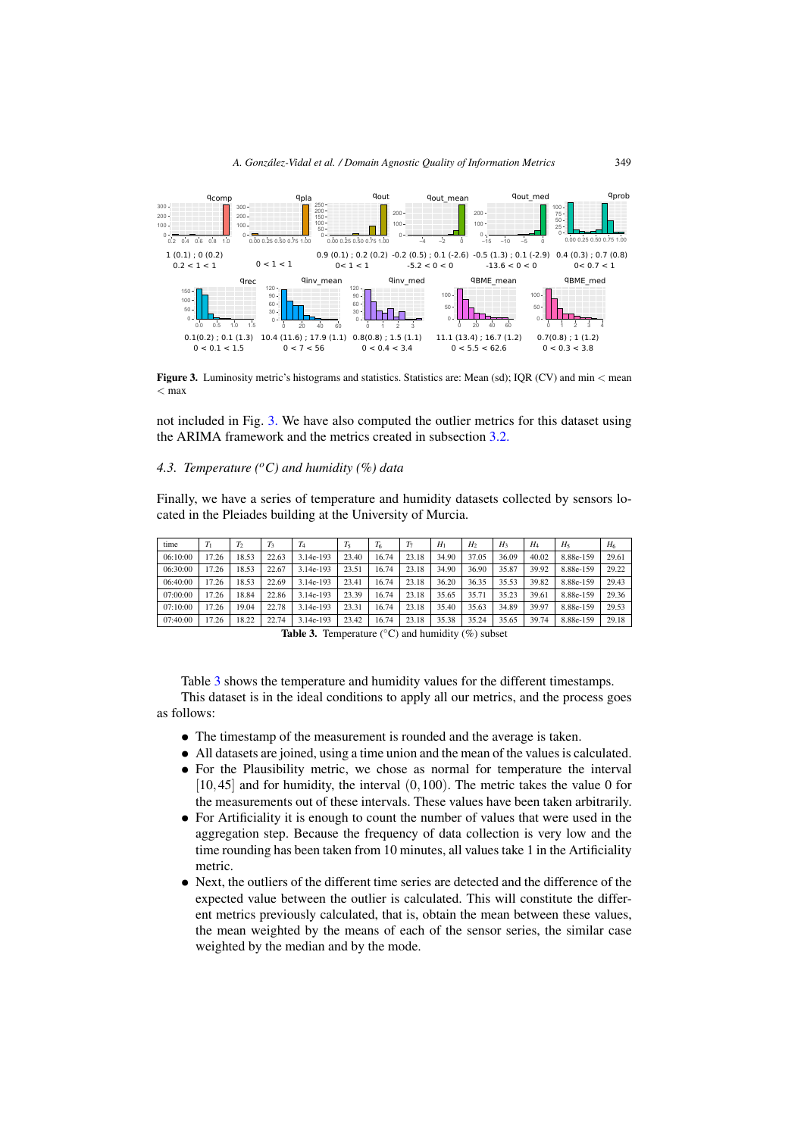<span id="page-6-0"></span>

Figure 3. Luminosity metric's histograms and statistics. Statistics are: Mean (sd); IQR (CV) and min < mean  $<$  max

not included in Fig. 3. We have also computed the outlier metrics for this dataset using the ARIMA framework and the metrics created in subsection [3.2.](#page-2-0)

## *4.3. Temperature (oC) and humidity (%) data*

Finally, we have a series of temperature and humidity datasets collected by sensors located in the Pleiades building at the University of Murcia.

| time     | T     | T <sub>2</sub> | $T_3$ | 14        | $T_5$ | $T_6$ | T7    | H     | H <sub>2</sub> | $H_3$ | $H_{4}$ | $H_{5}$   | $H_6$ |
|----------|-------|----------------|-------|-----------|-------|-------|-------|-------|----------------|-------|---------|-----------|-------|
| 06:10:00 | 17.26 | 18.53          | 22.63 | 3.14e-193 | 23.40 | 16.74 | 23.18 | 34.90 | 37.05          | 36.09 | 40.02   | 8.88e-159 | 29.61 |
| 06:30:00 | 17.26 | 18.53          | 22.67 | 3.14e-193 | 23.51 | 16.74 | 23.18 | 34.90 | 36.90          | 35.87 | 39.92   | 8.88e-159 | 29.22 |
| 06:40:00 | 17.26 | 18.53          | 22.69 | 3.14e-193 | 23.41 | 16.74 | 23.18 | 36.20 | 36.35          | 35.53 | 39.82   | 8.88e-159 | 29.43 |
| 07:00:00 | 17.26 | 18.84          | 22.86 | 3.14e-193 | 23.39 | 16.74 | 23.18 | 35.65 | 35.71          | 35.23 | 39.61   | 8.88e-159 | 29.36 |
| 07:10:00 | 17.26 | 19.04          | 22.78 | 3.14e-193 | 23.31 | 16.74 | 23.18 | 35.40 | 35.63          | 34.89 | 39.97   | 8.88e-159 | 29.53 |
| 07:40:00 | 17.26 | 18.22          | 22.74 | 3.14e-193 | 23.42 | 16.74 | 23.18 | 35.38 | 35.24          | 35.65 | 39.74   | 8.88e-159 | 29.18 |

**Table 3.** Temperature  $(^{\circ}C)$  and humidity  $(\%)$  subset

Table 3 shows the temperature and humidity values for the different timestamps. This dataset is in the ideal conditions to apply all our metrics, and the process goes as follows:

- *•* The timestamp of the measurement is rounded and the average is taken.
- All datasets are joined, using a time union and the mean of the values is calculated.
- For the Plausibility metric, we chose as normal for temperature the interval  $[10, 45]$  and for humidity, the interval  $(0, 100)$ . The metric takes the value 0 for the measurements out of these intervals. These values have been taken arbitrarily.
- For Artificiality it is enough to count the number of values that were used in the aggregation step. Because the frequency of data collection is very low and the time rounding has been taken from 10 minutes, all values take 1 in the Artificiality metric.
- Next, the outliers of the different time series are detected and the difference of the expected value between the outlier is calculated. This will constitute the different metrics previously calculated, that is, obtain the mean between these values, the mean weighted by the means of each of the sensor series, the similar case weighted by the median and by the mode.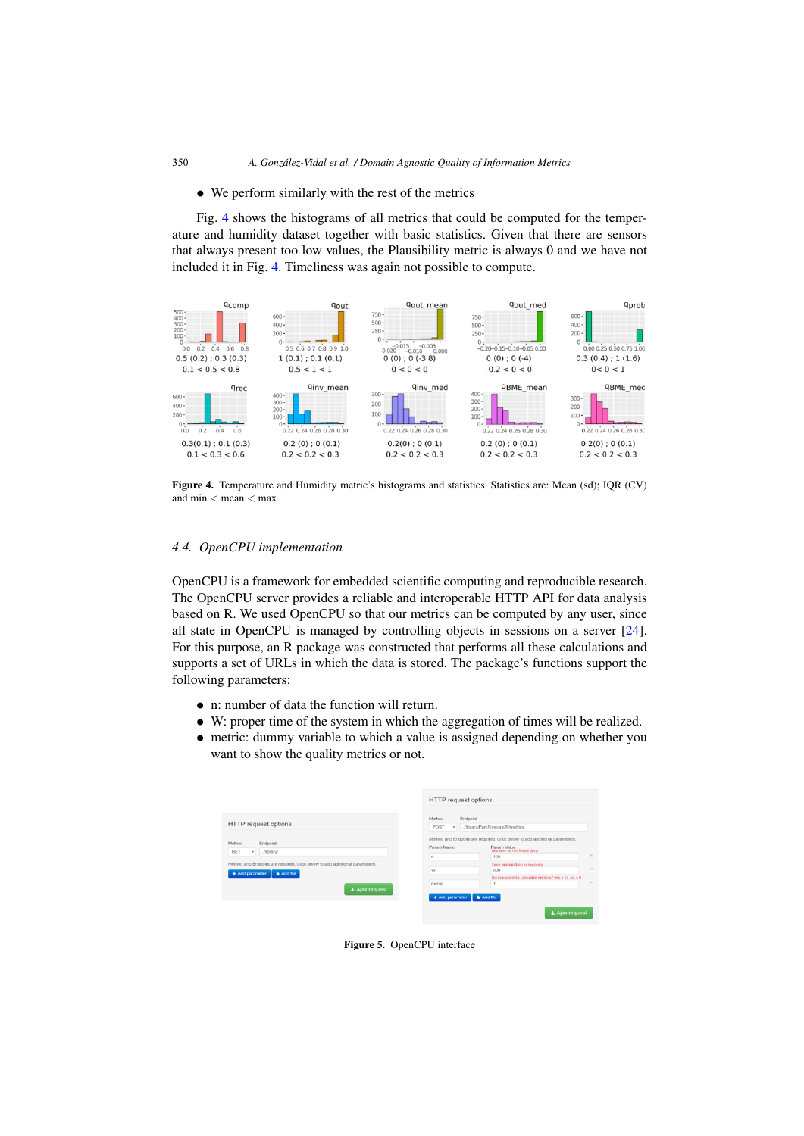#### <span id="page-7-0"></span>• We perform similarly with the rest of the metrics

Fig. 4 shows the histograms of all metrics that could be computed for the temperature and humidity dataset together with basic statistics. Given that there are sensors that always present too low values, the Plausibility metric is always 0 and we have not included it in Fig. 4. Timeliness was again not possible to compute.



Figure 4. Temperature and Humidity metric's histograms and statistics. Statistics are: Mean (sd); IQR (CV) and  $\min$  < mean  $<$  max

#### *4.4. OpenCPU implementation*

OpenCPU is a framework for embedded scientific computing and reproducible research. The OpenCPU server provides a reliable and interoperable HTTP API for data analysis based on R. We used OpenCPU so that our metrics can be computed by any user, since all state in OpenCPU is managed by controlling objects in sessions on a server [\[24\]](#page-9-0). For this purpose, an R package was constructed that performs all these calculations and supports a set of URLs in which the data is stored. The package's functions support the following parameters:

- *•* n: number of data the function will return.
- W: proper time of the system in which the aggregation of times will be realized.
- metric: dummy variable to which a value is assigned depending on whether you want to show the quality metrics or not.

|                                                                                                                     | <b>HTTP</b> request options                                                                                                                      |                      |
|---------------------------------------------------------------------------------------------------------------------|--------------------------------------------------------------------------------------------------------------------------------------------------|----------------------|
| <b>HTTP</b> request options                                                                                         | Method<br>Endpoint<br>POST<br>/library/ParkForecast/R/metrics<br>$\;$                                                                            |                      |
| Method<br>Endpoint<br><b>GET</b><br>/iibrary/<br>۰                                                                  | Method and Endpoint are required. Click below to add additional parameters.<br>Param Name<br>Param Value<br>Number of retrieved data<br>100<br>n | $\infty$             |
| Method and Endpoint are required. Click below to add additional parameters.<br>+ Add parameter<br><b>N</b> Add file | <b>Time aggregation in seconds</b><br>W<br>600<br>Do you want to calculate metrics? yes = $1/$ no = 0                                            | $\propto$            |
| ▲ Ajax request                                                                                                      | metric<br>Add file<br>+ Add parameter                                                                                                            | $\mathcal{H}$        |
|                                                                                                                     |                                                                                                                                                  | $\perp$ Ajax request |

Figure 5. OpenCPU interface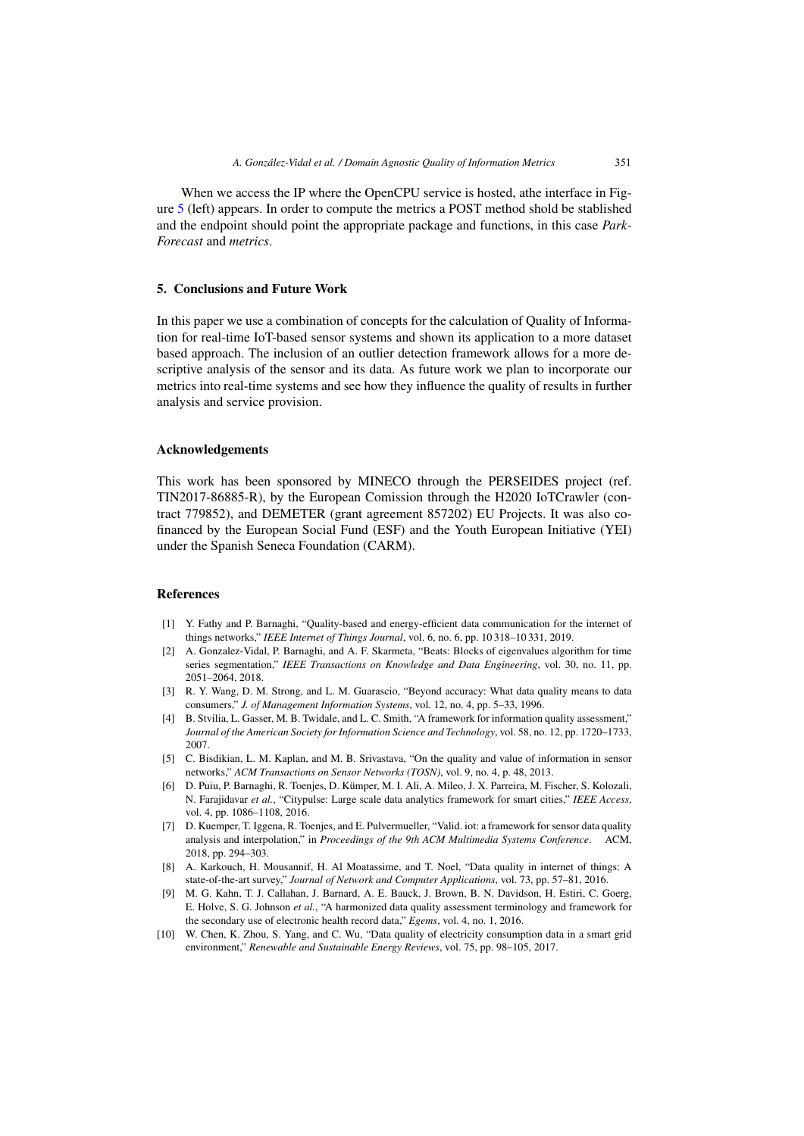<span id="page-8-0"></span>When we access the IP where the OpenCPU service is hosted, athe interface in Figure [5](#page-7-0) (left) appears. In order to compute the metrics a POST method shold be stablished and the endpoint should point the appropriate package and functions, in this case *Park-Forecast* and *metrics*.

### 5. Conclusions and Future Work

In this paper we use a combination of concepts for the calculation of Quality of Information for real-time IoT-based sensor systems and shown its application to a more dataset based approach. The inclusion of an outlier detection framework allows for a more descriptive analysis of the sensor and its data. As future work we plan to incorporate our metrics into real-time systems and see how they influence the quality of results in further analysis and service provision.

#### Acknowledgements

This work has been sponsored by MINECO through the PERSEIDES project (ref. TIN2017-86885-R), by the European Comission through the H2020 IoTCrawler (contract 779852), and DEMETER (grant agreement 857202) EU Projects. It was also cofinanced by the European Social Fund (ESF) and the Youth European Initiative (YEI) under the Spanish Seneca Foundation (CARM).

#### References

- [1] Y. Fathy and P. Barnaghi, "Quality-based and energy-efficient data communication for the internet of things networks," *IEEE Internet of Things Journal*, vol. 6, no. 6, pp. 10 318–10 331, 2019.
- [2] A. Gonzalez-Vidal, P. Barnaghi, and A. F. Skarmeta, "Beats: Blocks of eigenvalues algorithm for time series segmentation," *IEEE Transactions on Knowledge and Data Engineering*, vol. 30, no. 11, pp. 2051–2064, 2018.
- [3] R. Y. Wang, D. M. Strong, and L. M. Guarascio, "Beyond accuracy: What data quality means to data consumers," *J. of Management Information Systems*, vol. 12, no. 4, pp. 5–33, 1996.
- [4] B. Stvilia, L. Gasser, M. B. Twidale, and L. C. Smith, "A framework for information quality assessment," *Journal of the American Society for Information Science and Technology*, vol. 58, no. 12, pp. 1720–1733, 2007.
- [5] C. Bisdikian, L. M. Kaplan, and M. B. Srivastava, "On the quality and value of information in sensor networks," *ACM Transactions on Sensor Networks (TOSN)*, vol. 9, no. 4, p. 48, 2013.
- [6] D. Puiu, P. Barnaghi, R. Toenjes, D. Kumper, M. I. Ali, A. Mileo, J. X. Parreira, M. Fischer, S. Kolozali, ¨ N. Farajidavar *et al.*, "Citypulse: Large scale data analytics framework for smart cities," *IEEE Access*, vol. 4, pp. 1086–1108, 2016.
- [7] D. Kuemper, T. Iggena, R. Toenjes, and E. Pulvermueller, "Valid. iot: a framework for sensor data quality analysis and interpolation," in *Proceedings of the 9th ACM Multimedia Systems Conference*. ACM, 2018, pp. 294–303.
- [8] A. Karkouch, H. Mousannif, H. Al Moatassime, and T. Noel, "Data quality in internet of things: A state-of-the-art survey," *Journal of Network and Computer Applications*, vol. 73, pp. 57–81, 2016.
- [9] M. G. Kahn, T. J. Callahan, J. Barnard, A. E. Bauck, J. Brown, B. N. Davidson, H. Estiri, C. Goerg, E. Holve, S. G. Johnson *et al.*, "A harmonized data quality assessment terminology and framework for the secondary use of electronic health record data," *Egems*, vol. 4, no. 1, 2016.
- [10] W. Chen, K. Zhou, S. Yang, and C. Wu, "Data quality of electricity consumption data in a smart grid environment," *Renewable and Sustainable Energy Reviews*, vol. 75, pp. 98–105, 2017.